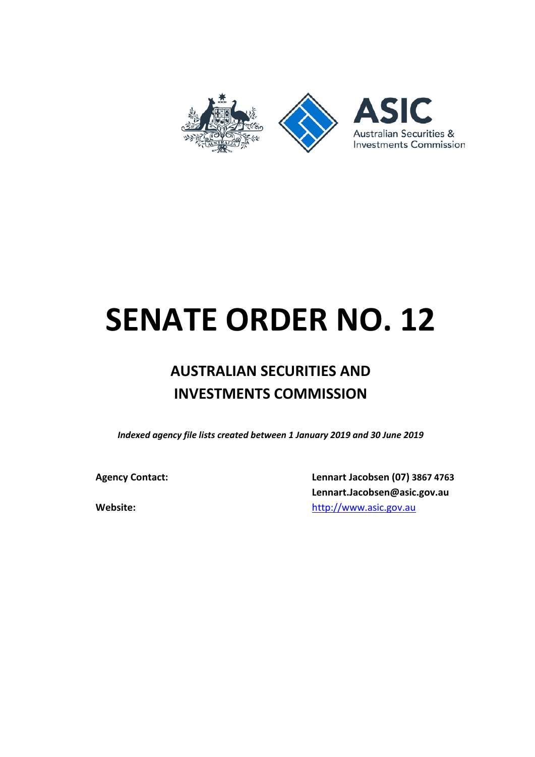

## **SENATE ORDER NO. 12**

## **AUSTRALIAN SECURITIES AND INVESTMENTS COMMISSION**

*Indexed agency file lists created between 1 January 2019 and 30 June 2019*

**Agency Contact: Lennart Jacobsen (07) 3867 4763 Lennart.Jacobsen@asic.gov.au Website:** [http://www.asic.gov.au](http://www.asic.gov.au/)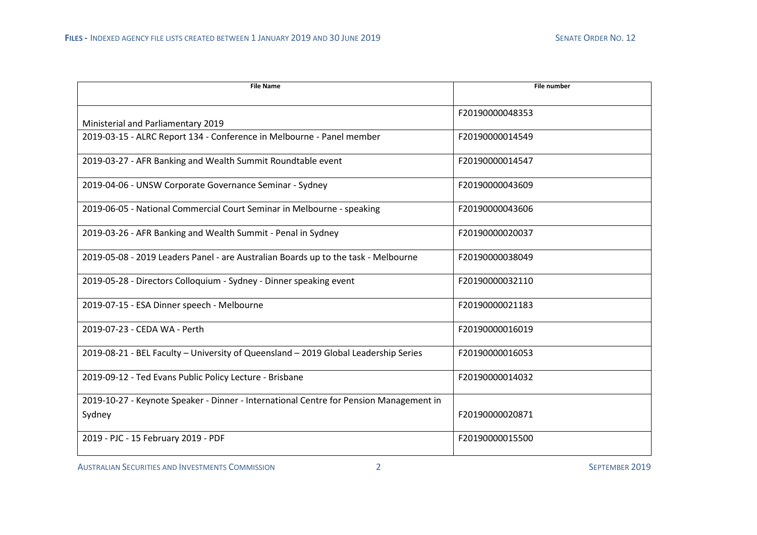| <b>File Name</b>                                                                                 | <b>File number</b> |
|--------------------------------------------------------------------------------------------------|--------------------|
| Ministerial and Parliamentary 2019                                                               | F20190000048353    |
| 2019-03-15 - ALRC Report 134 - Conference in Melbourne - Panel member                            | F20190000014549    |
| 2019-03-27 - AFR Banking and Wealth Summit Roundtable event                                      | F20190000014547    |
| 2019-04-06 - UNSW Corporate Governance Seminar - Sydney                                          | F20190000043609    |
| 2019-06-05 - National Commercial Court Seminar in Melbourne - speaking                           | F20190000043606    |
| 2019-03-26 - AFR Banking and Wealth Summit - Penal in Sydney                                     | F20190000020037    |
| 2019-05-08 - 2019 Leaders Panel - are Australian Boards up to the task - Melbourne               | F20190000038049    |
| 2019-05-28 - Directors Colloquium - Sydney - Dinner speaking event                               | F20190000032110    |
| 2019-07-15 - ESA Dinner speech - Melbourne                                                       | F20190000021183    |
| 2019-07-23 - CEDA WA - Perth                                                                     | F20190000016019    |
| 2019-08-21 - BEL Faculty - University of Queensland - 2019 Global Leadership Series              | F20190000016053    |
| 2019-09-12 - Ted Evans Public Policy Lecture - Brisbane                                          | F20190000014032    |
| 2019-10-27 - Keynote Speaker - Dinner - International Centre for Pension Management in<br>Sydney | F20190000020871    |
| 2019 - PJC - 15 February 2019 - PDF                                                              | F20190000015500    |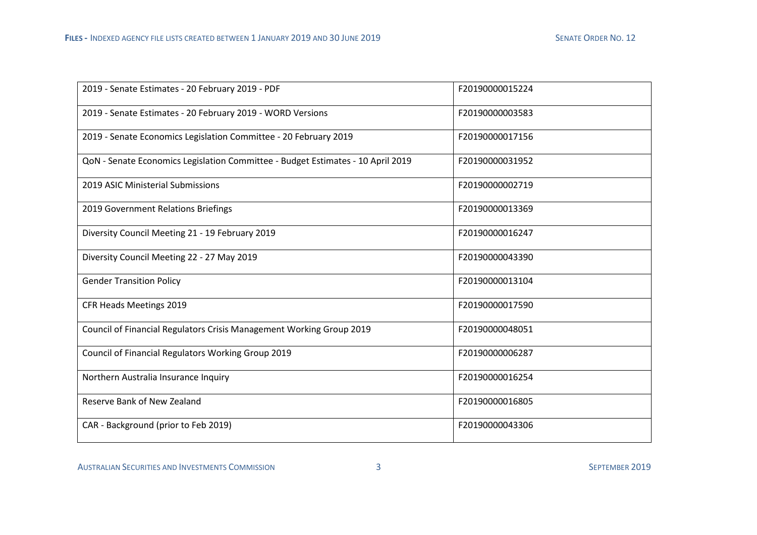| 2019 - Senate Estimates - 20 February 2019 - PDF                                | F20190000015224 |
|---------------------------------------------------------------------------------|-----------------|
| 2019 - Senate Estimates - 20 February 2019 - WORD Versions                      | F20190000003583 |
| 2019 - Senate Economics Legislation Committee - 20 February 2019                | F20190000017156 |
| QoN - Senate Economics Legislation Committee - Budget Estimates - 10 April 2019 | F20190000031952 |
| 2019 ASIC Ministerial Submissions                                               | F20190000002719 |
| 2019 Government Relations Briefings                                             | F20190000013369 |
| Diversity Council Meeting 21 - 19 February 2019                                 | F20190000016247 |
| Diversity Council Meeting 22 - 27 May 2019                                      | F20190000043390 |
| <b>Gender Transition Policy</b>                                                 | F20190000013104 |
| CFR Heads Meetings 2019                                                         | F20190000017590 |
| Council of Financial Regulators Crisis Management Working Group 2019            | F20190000048051 |
| Council of Financial Regulators Working Group 2019                              | F20190000006287 |
| Northern Australia Insurance Inquiry                                            | F20190000016254 |
| Reserve Bank of New Zealand                                                     | F20190000016805 |
| CAR - Background (prior to Feb 2019)                                            | F20190000043306 |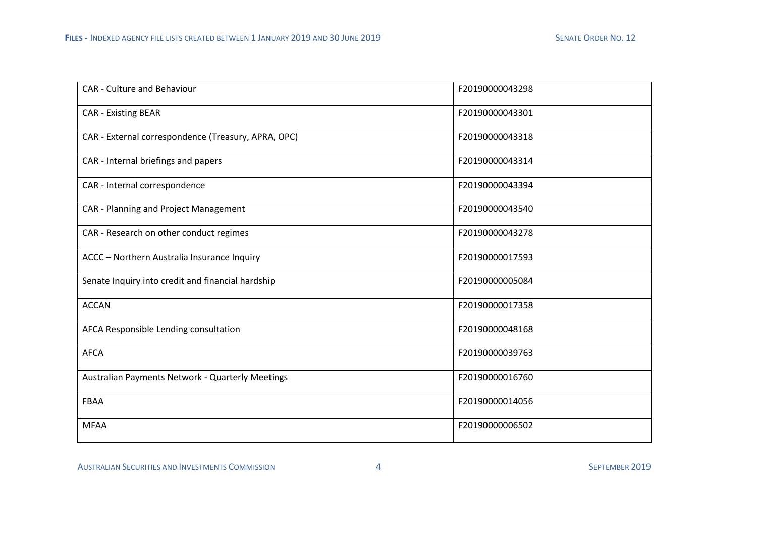| <b>CAR - Culture and Behaviour</b>                  | F20190000043298 |
|-----------------------------------------------------|-----------------|
| <b>CAR - Existing BEAR</b>                          | F20190000043301 |
| CAR - External correspondence (Treasury, APRA, OPC) | F20190000043318 |
| CAR - Internal briefings and papers                 | F20190000043314 |
| CAR - Internal correspondence                       | F20190000043394 |
| CAR - Planning and Project Management               | F20190000043540 |
| CAR - Research on other conduct regimes             | F20190000043278 |
| ACCC - Northern Australia Insurance Inquiry         | F20190000017593 |
| Senate Inquiry into credit and financial hardship   | F20190000005084 |
| <b>ACCAN</b>                                        | F20190000017358 |
| AFCA Responsible Lending consultation               | F20190000048168 |
| <b>AFCA</b>                                         | F20190000039763 |
| Australian Payments Network - Quarterly Meetings    | F20190000016760 |
| <b>FBAA</b>                                         | F20190000014056 |
| <b>MFAA</b>                                         | F20190000006502 |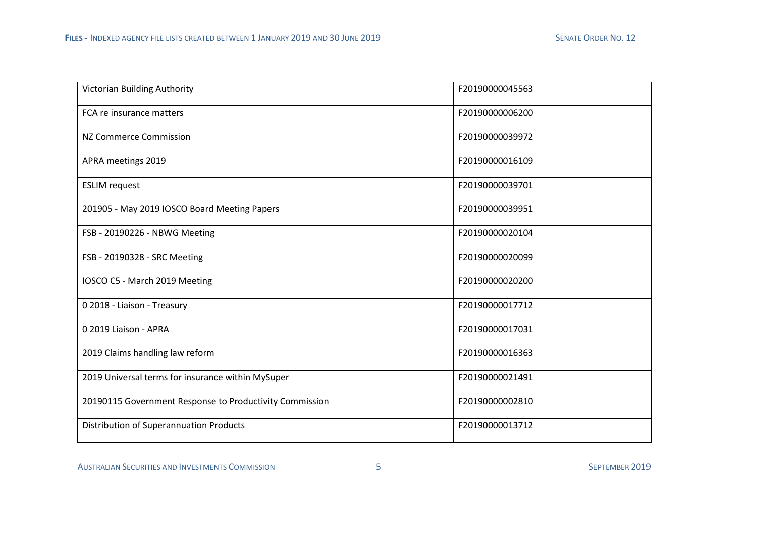| Victorian Building Authority                            | F20190000045563 |
|---------------------------------------------------------|-----------------|
| FCA re insurance matters                                | F20190000006200 |
| <b>NZ Commerce Commission</b>                           | F20190000039972 |
| APRA meetings 2019                                      | F20190000016109 |
| <b>ESLIM</b> request                                    | F20190000039701 |
| 201905 - May 2019 IOSCO Board Meeting Papers            | F20190000039951 |
| FSB - 20190226 - NBWG Meeting                           | F20190000020104 |
| FSB - 20190328 - SRC Meeting                            | F20190000020099 |
| IOSCO C5 - March 2019 Meeting                           | F20190000020200 |
| 0 2018 - Liaison - Treasury                             | F20190000017712 |
| 0 2019 Liaison - APRA                                   | F20190000017031 |
| 2019 Claims handling law reform                         | F20190000016363 |
| 2019 Universal terms for insurance within MySuper       | F20190000021491 |
| 20190115 Government Response to Productivity Commission | F20190000002810 |
| Distribution of Superannuation Products                 | F20190000013712 |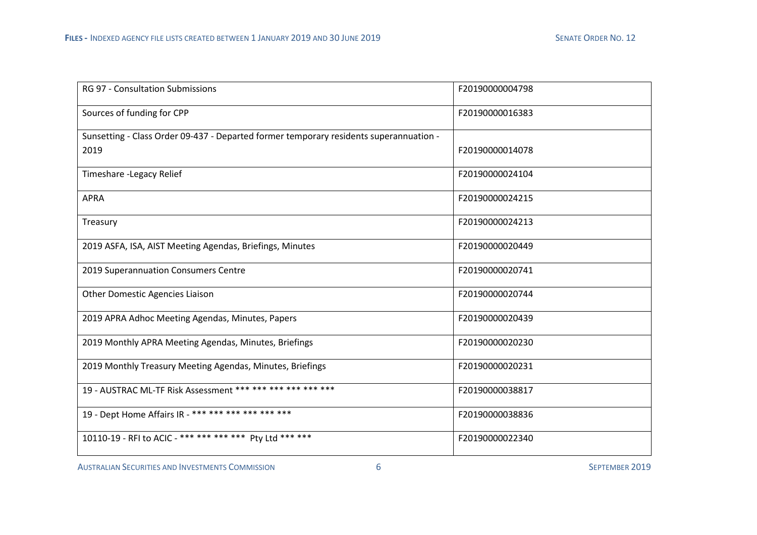| <b>RG 97 - Consultation Submissions</b>                                                | F20190000004798 |
|----------------------------------------------------------------------------------------|-----------------|
| Sources of funding for CPP                                                             | F20190000016383 |
| Sunsetting - Class Order 09-437 - Departed former temporary residents superannuation - |                 |
| 2019                                                                                   | F20190000014078 |
| Timeshare - Legacy Relief                                                              | F20190000024104 |
| <b>APRA</b>                                                                            | F20190000024215 |
| Treasury                                                                               | F20190000024213 |
| 2019 ASFA, ISA, AIST Meeting Agendas, Briefings, Minutes                               | F20190000020449 |
| 2019 Superannuation Consumers Centre                                                   | F20190000020741 |
| <b>Other Domestic Agencies Liaison</b>                                                 | F20190000020744 |
| 2019 APRA Adhoc Meeting Agendas, Minutes, Papers                                       | F20190000020439 |
| 2019 Monthly APRA Meeting Agendas, Minutes, Briefings                                  | F20190000020230 |
| 2019 Monthly Treasury Meeting Agendas, Minutes, Briefings                              | F20190000020231 |
| 19 - AUSTRAC ML-TF Risk Assessment *** *** *** *** *** ***                             | F20190000038817 |
| 19 - Dept Home Affairs IR - *** *** *** *** *** *** ***                                | F20190000038836 |
| 10110-19 - RFI to ACIC - *** *** *** *** Pty Ltd *** ***                               | F20190000022340 |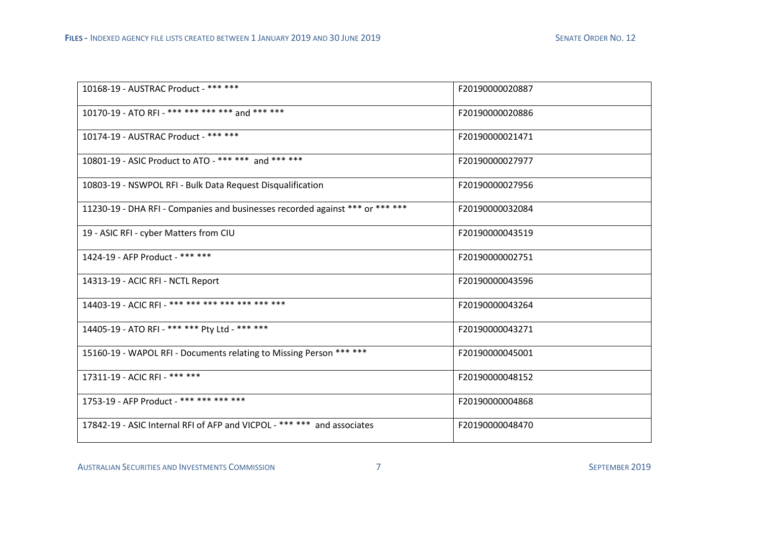| 10168-19 - AUSTRAC Product - *** ***                                          | F20190000020887 |
|-------------------------------------------------------------------------------|-----------------|
| 10170-19 - ATO RFI - *** *** *** *** and *** ***                              | F20190000020886 |
| 10174-19 - AUSTRAC Product - *** ***                                          | F20190000021471 |
| 10801-19 - ASIC Product to ATO - *** *** and *** ***                          | F20190000027977 |
| 10803-19 - NSWPOL RFI - Bulk Data Request Disqualification                    | F20190000027956 |
| 11230-19 - DHA RFI - Companies and businesses recorded against *** or *** *** | F20190000032084 |
| 19 - ASIC RFI - cyber Matters from CIU                                        | F20190000043519 |
| 1424-19 - AFP Product - *** ***                                               | F20190000002751 |
| 14313-19 - ACIC RFI - NCTL Report                                             | F20190000043596 |
| 14403-19 - ACIC RFI - *** *** *** *** *** *** *** ***                         | F20190000043264 |
| 14405-19 - ATO RFI - *** *** Pty Ltd - *** ***                                | F20190000043271 |
| 15160-19 - WAPOL RFI - Documents relating to Missing Person *** ***           | F20190000045001 |
| 17311-19 - ACIC RFI - *** ***                                                 | F20190000048152 |
| 1753-19 - AFP Product - *** *** *** ***                                       | F20190000004868 |
| 17842-19 - ASIC Internal RFI of AFP and VICPOL - *** *** and associates       | F20190000048470 |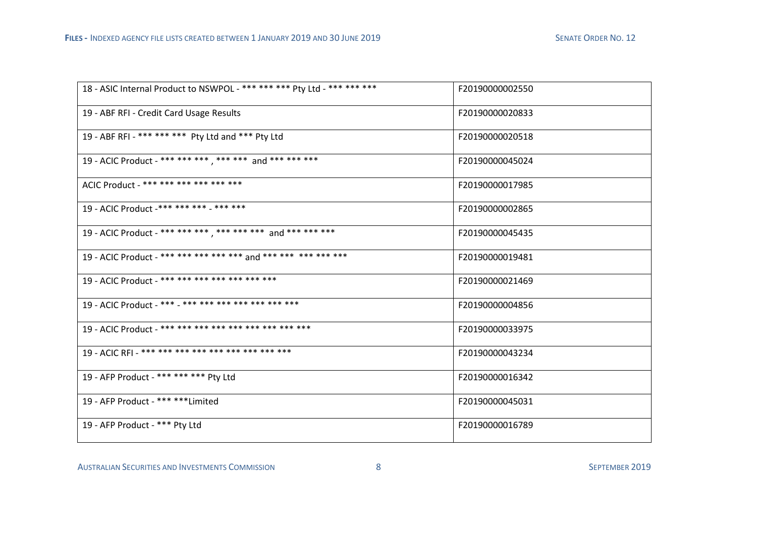| 18 - ASIC Internal Product to NSWPOL - *** *** *** Pty Ltd - *** *** *** | F20190000002550 |
|--------------------------------------------------------------------------|-----------------|
| 19 - ABF RFI - Credit Card Usage Results                                 | F20190000020833 |
| 19 - ABF RFI - *** *** *** Pty Ltd and *** Pty Ltd                       | F20190000020518 |
| 19 - ACIC Product - *** *** *** , *** *** and *** *** ***                | F20190000045024 |
| ACIC Product - *** *** *** *** *** *** ***                               | F20190000017985 |
| 19 - ACIC Product -*** *** *** - *** ***                                 | F20190000002865 |
| 19 - ACIC Product - *** *** *** , *** *** *** and *** *** ***            | F20190000045435 |
| 19 - ACIC Product - *** *** *** *** *** and *** *** *** *** ***          | F20190000019481 |
| 19 - ACIC Product - *** *** *** *** *** *** *** ***                      | F20190000021469 |
| 19 - ACIC Product - *** - *** *** *** *** *** *** ***                    | F20190000004856 |
|                                                                          | F20190000033975 |
|                                                                          | F20190000043234 |
| 19 - AFP Product - *** *** *** Pty Ltd                                   | F20190000016342 |
| 19 - AFP Product - *** ****Limited                                       | F20190000045031 |
| 19 - AFP Product - *** Pty Ltd                                           | F20190000016789 |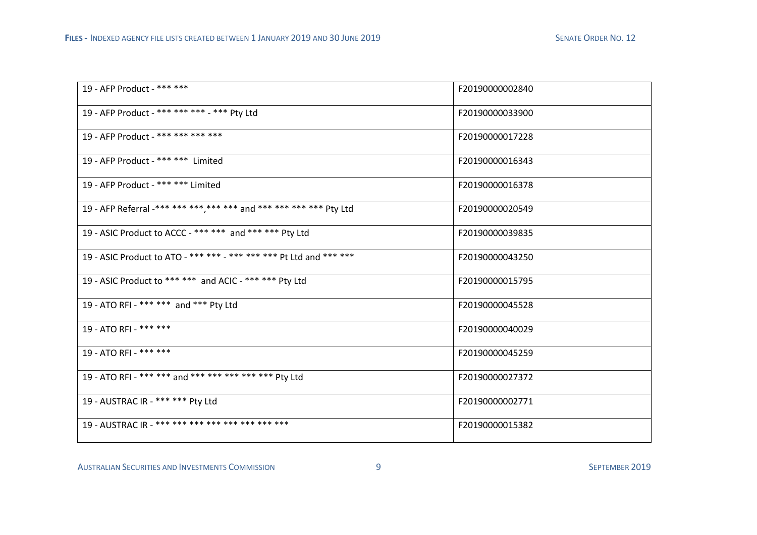| 19 - AFP Product - *** ***                                          | F20190000002840 |
|---------------------------------------------------------------------|-----------------|
| 19 - AFP Product - *** *** *** - *** Pty Ltd                        | F20190000033900 |
| 19 - AFP Product - *** *** *** ***                                  | F20190000017228 |
| 19 - AFP Product - *** *** Limited                                  | F20190000016343 |
| 19 - AFP Product - *** *** Limited                                  | F20190000016378 |
| 19 - AFP Referral -*** *** *** ,*** *** and *** *** *** *** Pty Ltd | F20190000020549 |
| 19 - ASIC Product to ACCC - *** *** and *** *** Pty Ltd             | F20190000039835 |
| 19 - ASIC Product to ATO - *** *** - *** *** *** Pt Ltd and *** *** | F20190000043250 |
| 19 - ASIC Product to *** *** and ACIC - *** *** Pty Ltd             | F20190000015795 |
| 19 - ATO RFI - *** *** and *** Pty Ltd                              | F20190000045528 |
| 19 - ATO RFI - *** ***                                              | F20190000040029 |
| 19 - ATO RFI - *** ***                                              | F20190000045259 |
| 19 - ATO RFI - *** *** and *** *** *** *** *** Pty Ltd              | F20190000027372 |
| 19 - AUSTRAC IR - *** *** Pty Ltd                                   | F20190000002771 |
| 19 - AUSTRAC IR - *** *** *** *** *** *** *** *** ***               | F20190000015382 |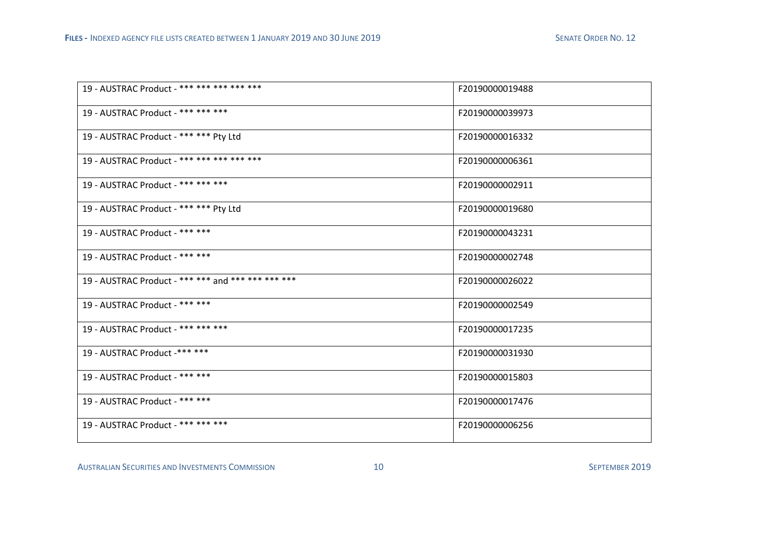| 19 - AUSTRAC Product - *** *** *** *** ***         | F20190000019488 |
|----------------------------------------------------|-----------------|
| 19 - AUSTRAC Product - *** *** ***                 | F20190000039973 |
| 19 - AUSTRAC Product - *** *** Pty Ltd             | F20190000016332 |
| 19 - AUSTRAC Product - *** *** *** *** ***         | F20190000006361 |
| 19 - AUSTRAC Product - *** *** ***                 | F20190000002911 |
| 19 - AUSTRAC Product - *** *** Pty Ltd             | F20190000019680 |
| 19 - AUSTRAC Product - *** ***                     | F20190000043231 |
| 19 - AUSTRAC Product - *** ***                     | F20190000002748 |
| 19 - AUSTRAC Product - *** *** and *** *** *** *** | F20190000026022 |
| 19 - AUSTRAC Product - *** ***                     | F20190000002549 |
| 19 - AUSTRAC Product - *** *** ***                 | F20190000017235 |
| 19 - AUSTRAC Product -*** ***                      | F20190000031930 |
| 19 - AUSTRAC Product - *** ***                     | F20190000015803 |
| 19 - AUSTRAC Product - *** ***                     | F20190000017476 |
| 19 - AUSTRAC Product - *** *** ***                 | F20190000006256 |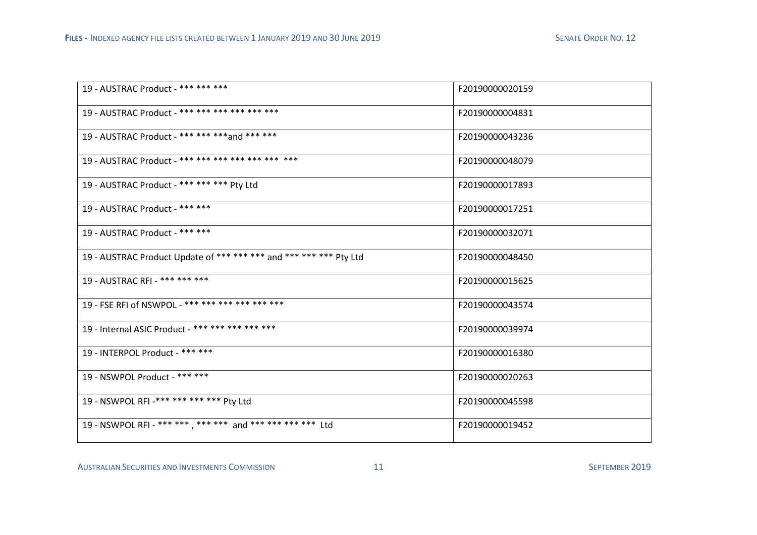| 19 - AUSTRAC Product - *** *** ***                                 | F20190000020159 |
|--------------------------------------------------------------------|-----------------|
| 19 - AUSTRAC Product - *** *** *** *** *** *** ***                 | F20190000004831 |
| 19 - AUSTRAC Product - *** *** *** and *** ***                     | F20190000043236 |
| 19 - AUSTRAC Product - *** *** *** *** *** *** ***                 | F20190000048079 |
| 19 - AUSTRAC Product - *** *** *** Pty Ltd                         | F20190000017893 |
| 19 - AUSTRAC Product - *** ***                                     | F20190000017251 |
| 19 - AUSTRAC Product - *** ***                                     | F20190000032071 |
| 19 - AUSTRAC Product Update of *** *** *** and *** *** *** Pty Ltd | F20190000048450 |
| 19 - AUSTRAC RFI - *** *** ***                                     | F20190000015625 |
| 19 - FSE RFI of NSWPOL - *** *** *** *** *** ***                   | F20190000043574 |
| 19 - Internal ASIC Product - *** *** *** *** ***                   | F20190000039974 |
| 19 - INTERPOL Product - *** ***                                    | F20190000016380 |
| 19 - NSWPOL Product - *** ***                                      | F20190000020263 |
| 19 - NSWPOL RFI -*** *** *** *** Pty Ltd                           | F20190000045598 |
| 19 - NSWPOL RFI - *** *** , *** *** and *** *** *** *** Ltd        | F20190000019452 |

,我们也不会有什么。""我们的人,我们也不会有什么?""我们的人,我们也不会有什么?""我们的人,我们也不会有什么?""我们的人,我们也不会有什么?""我们的人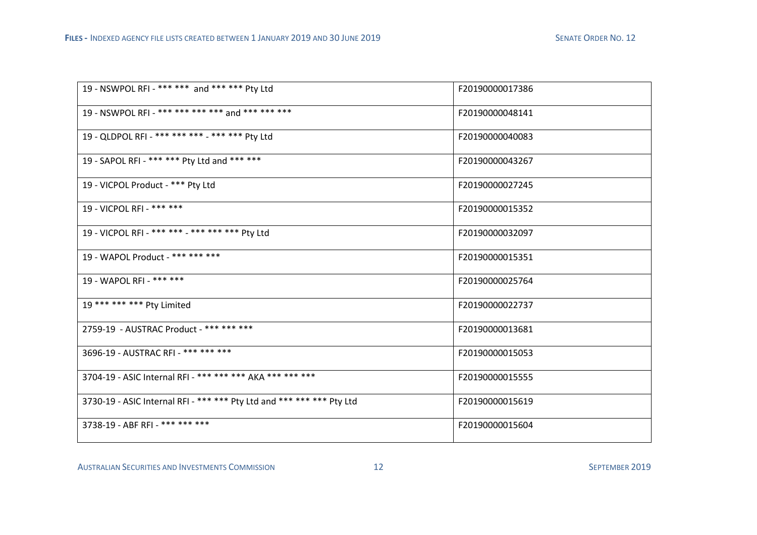| 19 - NSWPOL RFI - *** *** and *** *** Pty Ltd                         | F20190000017386 |
|-----------------------------------------------------------------------|-----------------|
| 19 - NSWPOL RFI - *** *** *** *** and *** *** ***                     | F20190000048141 |
| 19 - QLDPOL RFI - *** *** *** - *** *** Pty Ltd                       | F20190000040083 |
| 19 - SAPOL RFI - *** *** Pty Ltd and *** ***                          | F20190000043267 |
| 19 - VICPOL Product - *** Pty Ltd                                     | F20190000027245 |
| 19 - VICPOL RFI - *** ***                                             | F20190000015352 |
| 19 - VICPOL RFI - *** *** - *** *** *** Pty Ltd                       | F20190000032097 |
| 19 - WAPOL Product - *** *** ***                                      | F20190000015351 |
| 19 - WAPOL RFI - *** ***                                              | F20190000025764 |
| 19 *** *** *** Pty Limited                                            | F20190000022737 |
| 2759-19 - AUSTRAC Product - *** *** ***                               | F20190000013681 |
| 3696-19 - AUSTRAC RFI - *** *** ***                                   | F20190000015053 |
| 3704-19 - ASIC Internal RFI - *** *** *** AKA *** *** ***             | F20190000015555 |
| 3730-19 - ASIC Internal RFI - *** *** Pty Ltd and *** *** *** Pty Ltd | F20190000015619 |
| 3738-19 - ABF RFI - *** *** ***                                       | F20190000015604 |

,我们也不会有什么。""我们的人,我们也不会有什么?""我们的人,我们也不会有什么?""我们的人,我们的人,我们的人,我们的人,我们的人,我们的人,我们的人,我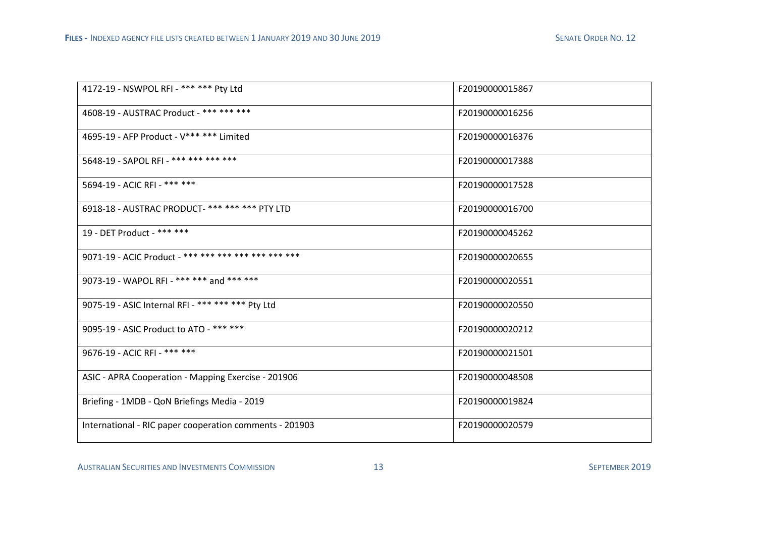| 4172-19 - NSWPOL RFI - *** *** Pty Ltd                   | F20190000015867 |
|----------------------------------------------------------|-----------------|
| 4608-19 - AUSTRAC Product - *** *** ***                  | F20190000016256 |
| 4695-19 - AFP Product - V*** *** Limited                 | F20190000016376 |
| 5648-19 - SAPOL RFI - *** *** *** ***                    | F20190000017388 |
| 5694-19 - ACIC RFI - *** ***                             | F20190000017528 |
| 6918-18 - AUSTRAC PRODUCT- *** *** *** PTY LTD           | F20190000016700 |
| 19 - DET Product - *** ***                               | F20190000045262 |
| 9071-19 - ACIC Product - *** *** *** *** *** *** *** *** | F20190000020655 |
| 9073-19 - WAPOL RFI - *** *** and *** ***                | F20190000020551 |
| 9075-19 - ASIC Internal RFI - *** *** *** Pty Ltd        | F20190000020550 |
| 9095-19 - ASIC Product to ATO - *** ***                  | F20190000020212 |
| 9676-19 - ACIC RFI - *** ***                             | F20190000021501 |
| ASIC - APRA Cooperation - Mapping Exercise - 201906      | F20190000048508 |
| Briefing - 1MDB - QoN Briefings Media - 2019             | F20190000019824 |
| International - RIC paper cooperation comments - 201903  | F20190000020579 |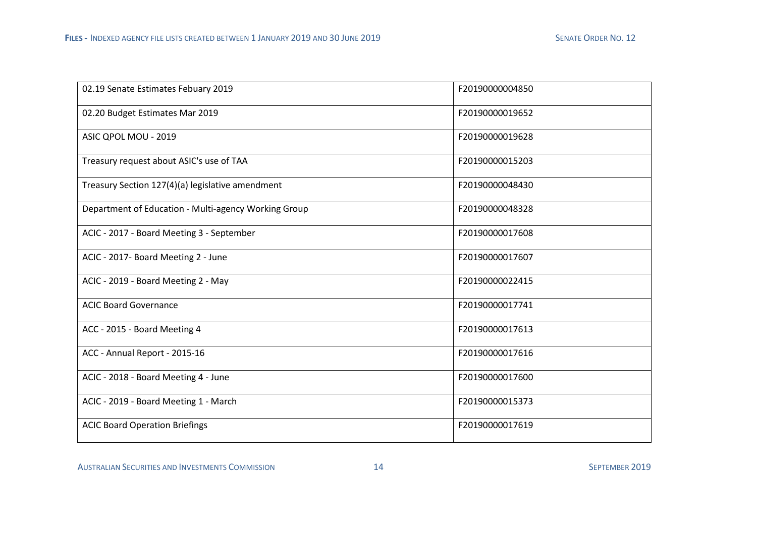| 02.19 Senate Estimates Febuary 2019                  | F20190000004850 |
|------------------------------------------------------|-----------------|
| 02.20 Budget Estimates Mar 2019                      | F20190000019652 |
| ASIC QPOL MOU - 2019                                 | F20190000019628 |
| Treasury request about ASIC's use of TAA             | F20190000015203 |
| Treasury Section 127(4)(a) legislative amendment     | F20190000048430 |
| Department of Education - Multi-agency Working Group | F20190000048328 |
| ACIC - 2017 - Board Meeting 3 - September            | F20190000017608 |
| ACIC - 2017- Board Meeting 2 - June                  | F20190000017607 |
| ACIC - 2019 - Board Meeting 2 - May                  | F20190000022415 |
| <b>ACIC Board Governance</b>                         | F20190000017741 |
| ACC - 2015 - Board Meeting 4                         | F20190000017613 |
| ACC - Annual Report - 2015-16                        | F20190000017616 |
| ACIC - 2018 - Board Meeting 4 - June                 | F20190000017600 |
| ACIC - 2019 - Board Meeting 1 - March                | F20190000015373 |
| <b>ACIC Board Operation Briefings</b>                | F20190000017619 |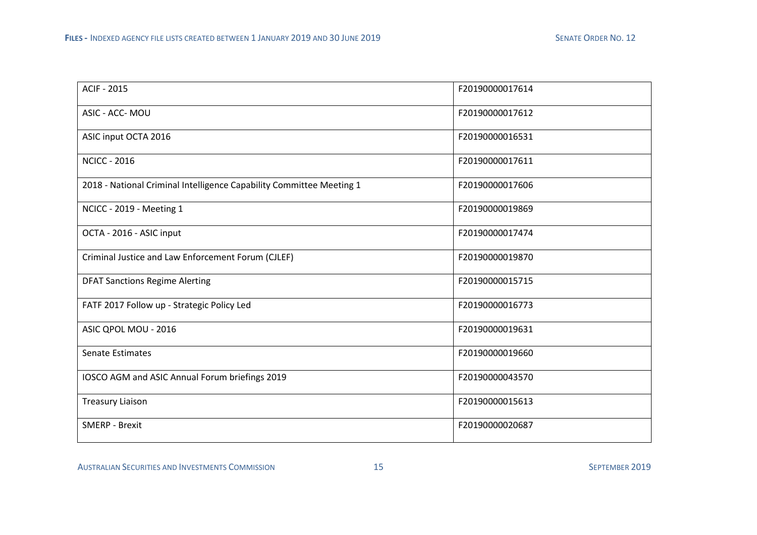| <b>ACIF - 2015</b>                                                   | F20190000017614 |
|----------------------------------------------------------------------|-----------------|
| ASIC - ACC- MOU                                                      | F20190000017612 |
| ASIC input OCTA 2016                                                 | F20190000016531 |
| <b>NCICC - 2016</b>                                                  | F20190000017611 |
| 2018 - National Criminal Intelligence Capability Committee Meeting 1 | F20190000017606 |
| NCICC - 2019 - Meeting 1                                             | F20190000019869 |
| OCTA - 2016 - ASIC input                                             | F20190000017474 |
| Criminal Justice and Law Enforcement Forum (CJLEF)                   | F20190000019870 |
| <b>DFAT Sanctions Regime Alerting</b>                                | F20190000015715 |
| FATF 2017 Follow up - Strategic Policy Led                           | F20190000016773 |
| ASIC QPOL MOU - 2016                                                 | F20190000019631 |
| <b>Senate Estimates</b>                                              | F20190000019660 |
| IOSCO AGM and ASIC Annual Forum briefings 2019                       | F20190000043570 |
| <b>Treasury Liaison</b>                                              | F20190000015613 |
| <b>SMERP - Brexit</b>                                                | F20190000020687 |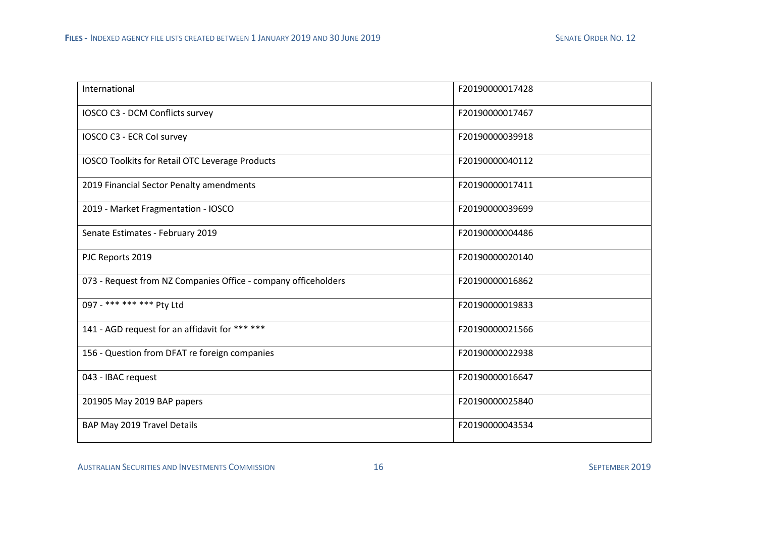| International                                                  | F20190000017428 |
|----------------------------------------------------------------|-----------------|
| IOSCO C3 - DCM Conflicts survey                                | F20190000017467 |
| IOSCO C3 - ECR Col survey                                      | F20190000039918 |
| IOSCO Toolkits for Retail OTC Leverage Products                | F20190000040112 |
| 2019 Financial Sector Penalty amendments                       | F20190000017411 |
| 2019 - Market Fragmentation - IOSCO                            | F20190000039699 |
| Senate Estimates - February 2019                               | F20190000004486 |
| PJC Reports 2019                                               | F20190000020140 |
| 073 - Request from NZ Companies Office - company officeholders | F20190000016862 |
| 097 - *** *** *** Pty Ltd                                      | F20190000019833 |
| 141 - AGD request for an affidavit for *** ***                 | F20190000021566 |
| 156 - Question from DFAT re foreign companies                  | F20190000022938 |
| 043 - IBAC request                                             | F20190000016647 |
| 201905 May 2019 BAP papers                                     | F20190000025840 |
| BAP May 2019 Travel Details                                    | F20190000043534 |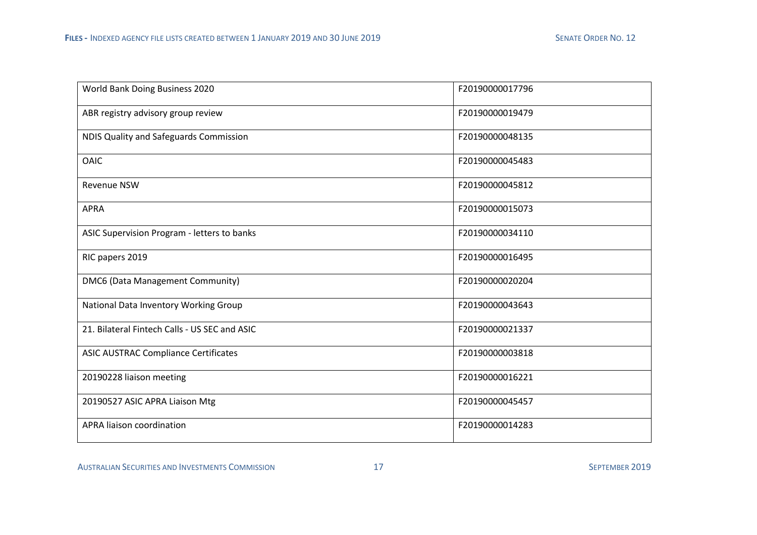| World Bank Doing Business 2020                | F20190000017796 |
|-----------------------------------------------|-----------------|
| ABR registry advisory group review            | F20190000019479 |
| NDIS Quality and Safeguards Commission        | F20190000048135 |
| <b>OAIC</b>                                   | F20190000045483 |
| <b>Revenue NSW</b>                            | F20190000045812 |
| <b>APRA</b>                                   | F20190000015073 |
| ASIC Supervision Program - letters to banks   | F20190000034110 |
| RIC papers 2019                               | F20190000016495 |
| DMC6 (Data Management Community)              | F20190000020204 |
| National Data Inventory Working Group         | F20190000043643 |
| 21. Bilateral Fintech Calls - US SEC and ASIC | F20190000021337 |
| <b>ASIC AUSTRAC Compliance Certificates</b>   | F20190000003818 |
| 20190228 liaison meeting                      | F20190000016221 |
| 20190527 ASIC APRA Liaison Mtg                | F20190000045457 |
| APRA liaison coordination                     | F20190000014283 |